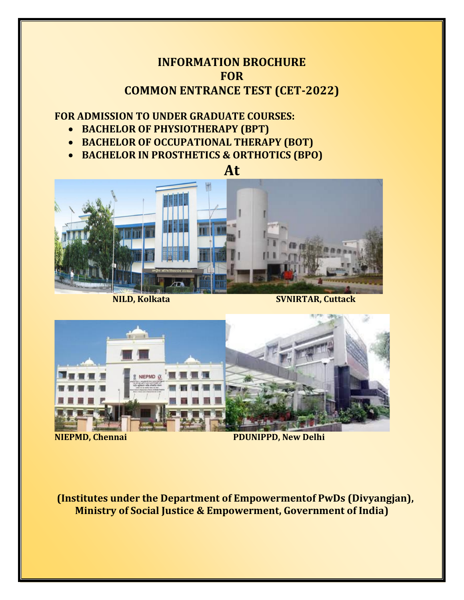## **INFORMATION BROCHURE FOR COMMON ENTRANCE TEST (CET-2022)**

## **FOR ADMISSION TO UNDER GRADUATE COURSES:**

- **BACHELOR OF PHYSIOTHERAPY (BPT)**
- **BACHELOR OF OCCUPATIONAL THERAPY (BOT)**
- **BACHELOR IN PROSTHETICS & ORTHOTICS (BPO)**





**NILD, Kolkata** SVNIRTAR, Cuttack



**NIEPMD, Chennai PDUNIPPD, New Delhi** 

**(Institutes under the Department of Empowermentof PwDs (Divyangjan), Ministry of Social Justice & Empowerment, Government of India)**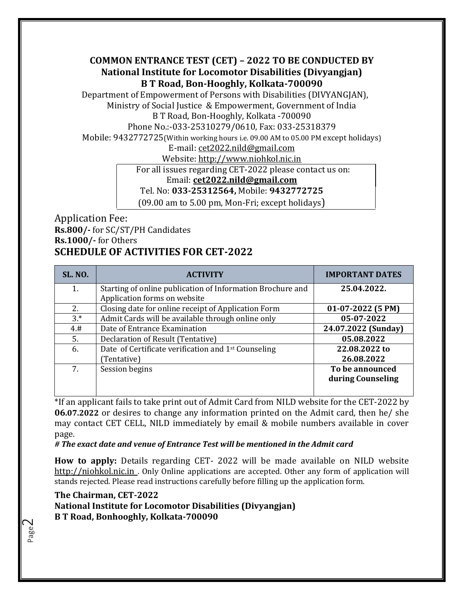**COMMON ENTRANCE TEST (CET) – 2022 TO BE CONDUCTED BY National Institute for Locomotor Disabilities (Divyangjan) B T Road, Bon-Hooghly, Kolkata-700090**

Department of Empowerment of Persons with Disabilities (DIVYANGJAN), Ministry of Social Justice & Empowerment, Government of India B T Road, Bon-Hooghly, Kolkata -700090

Phone No.:-033-25310279/0610, Fax: 033-25318379

Mobile: 9432772725(Within working hours i.e. 09.00 AM to 05.00 PM except holidays)

E-mail: [cet2022.nild@gmail.com](mailto:cet2022.nild@gmail.com)

Website: http://www.niohkol.nic.in

For all issues regarding CET-2022 please contact us on:

Email: **[cet2022.nild@gmail.com](mailto:cet2022.nild@gmail.com)**

Tel. No: **033-25312564,** Mobile: **9432772725**

(09.00 am to 5.00 pm, Mon-Fri; except holidays)

#### Application Fee: **Rs.800/-** for SC/ST/PH Candidates **Rs.1000/-** for Others **SCHEDULE OF ACTIVITIES FOR CET-2022**

| <b>SL. NO.</b> | <b>ACTIVITY</b>                                                 | <b>IMPORTANT DATES</b> |
|----------------|-----------------------------------------------------------------|------------------------|
| 1.             | Starting of online publication of Information Brochure and      | 25.04.2022.            |
|                | Application forms on website                                    |                        |
| 2.             | Closing date for online receipt of Application Form             | $01-07-2022$ (5 PM)    |
| $3.*$          | Admit Cards will be available through online only               | 05-07-2022             |
| 4.#            | Date of Entrance Examination                                    | 24.07.2022 (Sunday)    |
| 5.             | Declaration of Result (Tentative)                               | 05.08.2022             |
| 6.             | Date of Certificate verification and 1 <sup>st</sup> Counseling | 22.08.2022 to          |
|                | (Tentative)                                                     | 26.08.2022             |
| 7.             | Session begins                                                  | To be announced        |
|                |                                                                 | during Counseling      |
|                |                                                                 |                        |

\*If an applicant fails to take print out of Admit Card from NILD website for the CET-2022 by **06.07.2022** or desires to change any information printed on the Admit card, then he/ she may contact CET CELL, NILD immediately by email & mobile numbers available in cover page.

*# The exact date and venue of Entrance Test will be mentioned in the Admit card* 

**How to apply:** Details regarding CET- 2022 will be made available on NILD website [http://niohkol.nic.in](http://svnirtar.nic.in/) . Only Online applications are accepted. Other any form of application will stands rejected. Please read instructions carefully before filling up the application form.

**The Chairman, CET-2022 National Institute for Locomotor Disabilities (Divyangjan) B T Road, Bonhooghly, Kolkata-700090**

Page  $\mathrel{\sim}$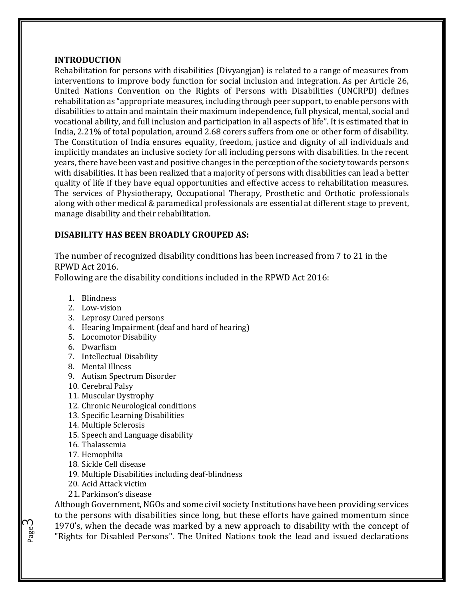#### **INTRODUCTION**

Rehabilitation for persons with disabilities (Divyangjan) is related to a range of measures from interventions to improve body function for social inclusion and integration. As per Article 26, United Nations Convention on the Rights of Persons with Disabilities (UNCRPD) defines rehabilitation as "appropriate measures, including through peer support, to enable persons with disabilities to attain and maintain their maximum independence, full physical, mental, social and vocational ability, and full inclusion and participation in all aspects of life". It is estimated that in India, 2.21% of total population, around 2.68 corers suffers from one or other form of disability. The Constitution of India ensures equality, freedom, justice and dignity of all individuals and implicitly mandates an inclusive society for all including persons with disabilities. In the recent years, there have been vast and positive changes in the perception of the society towards persons with disabilities. It has been realized that a majority of persons with disabilities can lead a better quality of life if they have equal opportunities and effective access to rehabilitation measures. The services of Physiotherapy, Occupational Therapy, Prosthetic and Orthotic professionals along with other medical & paramedical professionals are essential at different stage to prevent, manage disability and their rehabilitation.

#### **DISABILITY HAS BEEN BROADLY GROUPED AS:**

The number of recognized disability conditions has been increased from 7 to 21 in the RPWD Act 2016.

Following are the disability conditions included in the RPWD Act 2016:

- 1. Blindness
- 2. Low-vision
- 3. Leprosy Cured persons
- 4. Hearing Impairment (deaf and hard of hearing)
- 5. Locomotor Disability
- 6. Dwarfism
- 7. Intellectual Disability
- 8. Mental Illness
- 9. Autism Spectrum Disorder
- 10. Cerebral Palsy
- 11. Muscular Dystrophy
- 12. Chronic Neurological conditions
- 13. Specific Learning Disabilities
- 14. Multiple Sclerosis
- 15. Speech and Language disability
- 16. Thalassemia
- 17. Hemophilia
- 18. Sickle Cell disease
- 19. Multiple Disabilities including deaf-blindness
- 20. Acid Attack victim
- 21. Parkinson's disease

Although Government, NGOs and some civil society Institutions have been providing services to the persons with disabilities since long, but these efforts have gained momentum since 1970's, when the decade was marked by a new approach to disability with the concept of "Rights for Disabled Persons". The United Nations took the lead and issued declarations

Page ന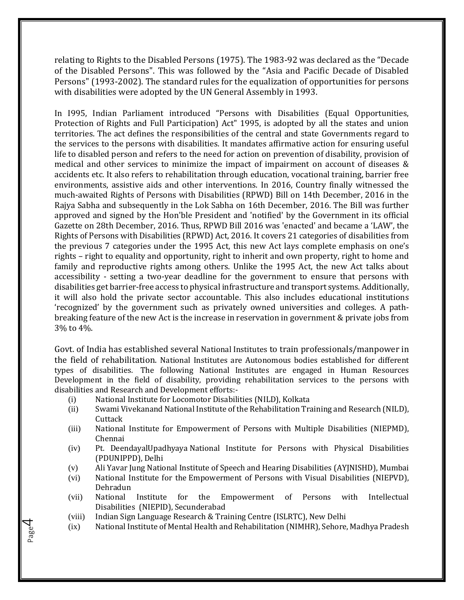relating to Rights to the Disabled Persons (1975). The 1983-92 was declared as the "Decade of the Disabled Persons". This was followed by the "Asia and Pacific Decade of Disabled Persons" (1993-2002). The standard rules for the equalization of opportunities for persons with disabilities were adopted by the UN General Assembly in 1993.

In I995, Indian Parliament introduced "Persons with Disabilities (Equal Opportunities, Protection of Rights and Full Participation) Act" 1995, is adopted by all the states and union territories. The act defines the responsibilities of the central and state Governments regard to the services to the persons with disabilities. It mandates affirmative action for ensuring useful life to disabled person and refers to the need for action on prevention of disability, provision of medical and other services to minimize the impact of impairment on account of diseases & accidents etc. It also refers to rehabilitation through education, vocational training, barrier free environments, assistive aids and other interventions. In 2016, Country finally witnessed the much-awaited Rights of Persons with Disabilities (RPWD) Bill on 14th December, 2016 in the Rajya Sabha and subsequently in the Lok Sabha on 16th December, 2016. The Bill was further approved and signed by the Hon'ble President and 'notified' by the Government in its official Gazette on 28th December, 2016. Thus, RPWD Bill 2016 was 'enacted' and became a 'LAW', the Rights of Persons with Disabilities (RPWD) Act, 2016. It covers 21 categories of disabilities from the previous 7 categories under the 1995 Act, this new Act lays complete emphasis on one's rights – right to equality and opportunity, right to inherit and own property, right to home and family and reproductive rights among others. Unlike the 1995 Act, the new Act talks about accessibility - setting a two-year deadline for the government to ensure that persons with disabilities get barrier-free access to physical infrastructure and transport systems. Additionally, it will also hold the private sector accountable. This also includes educational institutions 'recognized' by the government such as privately owned universities and colleges. A pathbreaking feature of the new Act is the increase in reservation in government & private jobs from 3% to 4%.

Govt. of India has established several National Institutes to train professionals/manpower in the field of rehabilitation. National Institutes are Autonomous bodies established for different types of disabilities. The following National Institutes are engaged in Human Resources Development in the field of disability, providing rehabilitation services to the persons with disabilities and Research and Development efforts:-

- (i) National Institute for Locomotor Disabilities (NILD), Kolkata
- (ii) Swami Vivekanand National Institute of the Rehabilitation Training and Research (NILD), **Cuttack**
- (iii) National Institute for Empowerment of Persons with Multiple Disabilities (NIEPMD), Chennai
- (iv) Pt. DeendayalUpadhyaya National Institute for Persons with Physical Disabilities (PDUNIPPD), Delhi
- (v) Ali Yavar Jung National Institute of Speech and Hearing Disabilities (AYJNISHD), Mumbai
- (vi) National Institute for the Empowerment of Persons with Visual Disabilities (NIEPVD), Dehradun
- (vii) National Institute for the Empowerment of Persons with Intellectual Disabilities (NIEPID), Secunderabad
- (viii) Indian Sign Language Research & Training Centre (ISLRTC), New Delhi

Page 4

(ix) National Institute of Mental Health and Rehabilitation (NIMHR), Sehore, Madhya Pradesh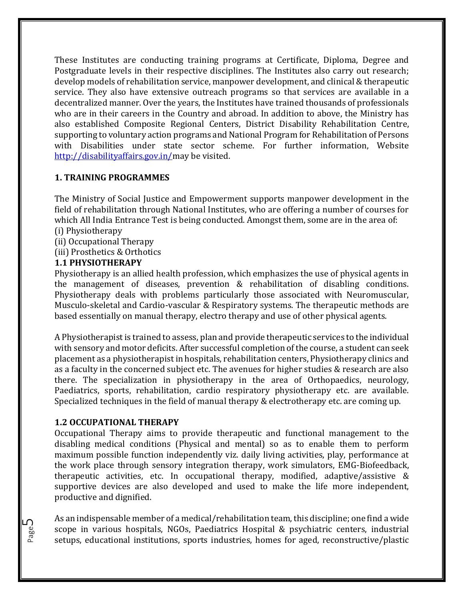These Institutes are conducting training programs at Certificate, Diploma, Degree and Postgraduate levels in their respective disciplines. The Institutes also carry out research; develop models of rehabilitation service, manpower development, and clinical & therapeutic service. They also have extensive outreach programs so that services are available in a decentralized manner. Over the years, the Institutes have trained thousands of professionals who are in their careers in the Country and abroad. In addition to above, the Ministry has also established Composite Regional Centers, District Disability Rehabilitation Centre, supporting to voluntary action programs and National Program for Rehabilitation of Persons with Disabilities under state sector scheme. For further information, Website [http://disabilityaffairs.gov.in/m](http://disabilityaffairs.gov.in/)ay be visited.

#### **1. TRAINING PROGRAMMES**

The Ministry of Social Justice and Empowerment supports manpower development in the field of rehabilitation through National Institutes, who are offering a number of courses for which All India Entrance Test is being conducted. Amongst them, some are in the area of: (i) Physiotherapy

- (ii) Occupational Therapy
- (iii) Prosthetics & Orthotics

#### **1.1 PHYSIOTHERAPY**

Physiotherapy is an allied health profession, which emphasizes the use of physical agents in the management of diseases, prevention & rehabilitation of disabling conditions. Physiotherapy deals with problems particularly those associated with Neuromuscular, Musculo-skeletal and Cardio-vascular & Respiratory systems. The therapeutic methods are based essentially on manual therapy, electro therapy and use of other physical agents.

A Physiotherapist is trained to assess, plan and provide therapeutic services to the individual with sensory and motor deficits. After successful completion of the course, a student can seek placement as a physiotherapist in hospitals, rehabilitation centers, Physiotherapy clinics and as a faculty in the concerned subject etc. The avenues for higher studies & research are also there. The specialization in physiotherapy in the area of Orthopaedics, neurology, Paediatrics, sports, rehabilitation, cardio respiratory physiotherapy etc. are available. Specialized techniques in the field of manual therapy & electrotherapy etc. are coming up.

#### **1.2 OCCUPATIONAL THERAPY**

Occupational Therapy aims to provide therapeutic and functional management to the disabling medical conditions (Physical and mental) so as to enable them to perform maximum possible function independently viz. daily living activities, play, performance at the work place through sensory integration therapy, work simulators, EMG-Biofeedback, therapeutic activities, etc. In occupational therapy, modified, adaptive/assistive & supportive devices are also developed and used to make the life more independent, productive and dignified.

As an indispensable member of a medical/rehabilitation team, this discipline; one find a wide scope in various hospitals, NGOs, Paediatrics Hospital & psychiatric centers, industrial setups, educational institutions, sports industries, homes for aged, reconstructive/plastic

Page ഥ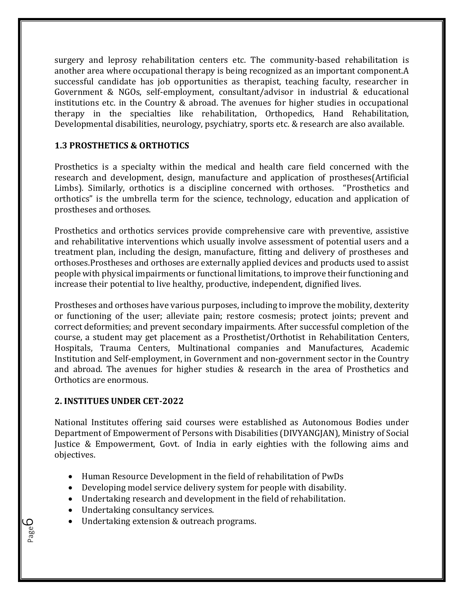surgery and leprosy rehabilitation centers etc. The community-based rehabilitation is another area where occupational therapy is being recognized as an important component.A successful candidate has job opportunities as therapist, teaching faculty, researcher in Government & NGOs, self-employment, consultant/advisor in industrial & educational institutions etc. in the Country & abroad. The avenues for higher studies in occupational therapy in the specialties like rehabilitation, Orthopedics, Hand Rehabilitation, Developmental disabilities, neurology, psychiatry, sports etc. & research are also available.

#### **1.3 PROSTHETICS & ORTHOTICS**

Prosthetics is a specialty within the medical and health care field concerned with the research and development, design, manufacture and application of prostheses(Artificial Limbs). Similarly, orthotics is a discipline concerned with orthoses. "Prosthetics and orthotics" is the umbrella term for the science, technology, education and application of prostheses and orthoses.

Prosthetics and orthotics services provide comprehensive care with preventive, assistive and rehabilitative interventions which usually involve assessment of potential users and a treatment plan, including the design, manufacture, fitting and delivery of prostheses and orthoses.Prostheses and orthoses are externally applied devices and products used to assist people with physical impairments or functional limitations, to improve their functioning and increase their potential to live healthy, productive, independent, dignified lives.

Prostheses and orthoses have various purposes, including to improve the mobility, dexterity or functioning of the user; alleviate pain; restore cosmesis; protect joints; prevent and correct deformities; and prevent secondary impairments. After successful completion of the course, a student may get placement as a Prosthetist/Orthotist in Rehabilitation Centers, Hospitals, Trauma Centers, Multinational companies and Manufactures, Academic Institution and Self-employment, in Government and non-government sector in the Country and abroad. The avenues for higher studies & research in the area of Prosthetics and Orthotics are enormous.

#### **2. INSTITUES UNDER CET-2022**

National Institutes offering said courses were established as Autonomous Bodies under Department of Empowerment of Persons with Disabilities (DIVYANGJAN), Ministry of Social Justice & Empowerment, Govt. of India in early eighties with the following aims and objectives.

- Human Resource Development in the field of rehabilitation of PwDs
- Developing model service delivery system for people with disability.
- Undertaking research and development in the field of rehabilitation.
- Undertaking consultancy services.

Page ص

• Undertaking extension & outreach programs.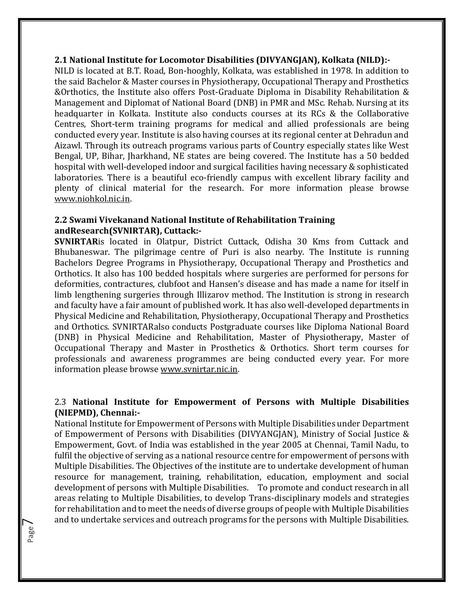#### **2.1 National Institute for Locomotor Disabilities (DIVYANGJAN), Kolkata (NILD):-**

NILD is located at B.T. Road, Bon-hooghly, Kolkata, was established in 1978. In addition to the said Bachelor & Master courses in Physiotherapy, Occupational Therapy and Prosthetics &Orthotics, the Institute also offers Post-Graduate Diploma in Disability Rehabilitation & Management and Diplomat of National Board (DNB) in PMR and MSc. Rehab. Nursing at its headquarter in Kolkata. Institute also conducts courses at its RCs & the Collaborative Centres, Short-term training programs for medical and allied professionals are being conducted every year. Institute is also having courses at its regional center at Dehradun and Aizawl. Through its outreach programs various parts of Country especially states like West Bengal, UP, Bihar, Jharkhand, NE states are being covered. The Institute has a 50 bedded hospital with well-developed indoor and surgical facilities having necessary & sophisticated laboratories. There is a beautiful eco-friendly campus with excellent library facility and plenty of clinical material for the research. For more information please browse [www.niohkol.nic.in.](http://www.niohkol.nic.in/)

#### **2.2 Swami Vivekanand National Institute of Rehabilitation Training andResearch(SVNIRTAR), Cuttack:-**

**SVNIRTAR**is located in Olatpur, District Cuttack, Odisha 30 Kms from Cuttack and Bhubaneswar. The pilgrimage centre of Puri is also nearby. The Institute is running Bachelors Degree Programs in Physiotherapy, Occupational Therapy and Prosthetics and Orthotics. It also has 100 bedded hospitals where surgeries are performed for persons for deformities, contractures, clubfoot and Hansen's disease and has made a name for itself in limb lengthening surgeries through Illizarov method. The Institution is strong in research and faculty have a fair amount of published work. It has also well-developed departments in Physical Medicine and Rehabilitation, Physiotherapy, Occupational Therapy and Prosthetics and Orthotics. SVNIRTARalso conducts Postgraduate courses like Diploma National Board (DNB) in Physical Medicine and Rehabilitation, Master of Physiotherapy, Master of Occupational Therapy and Master in Prosthetics & Orthotics. Short term courses for professionals and awareness programmes are being conducted every year. For more information please browse [www.svnirtar.nic.in.](http://www.svnirtar.nic.in/)

#### 2.3 **National Institute for Empowerment of Persons with Multiple Disabilities (NIEPMD), Chennai:-**

National Institute for Empowerment of Persons with Multiple Disabilities under Department of Empowerment of Persons with Disabilities (DIVYANGJAN), Ministry of Social Justice & Empowerment, Govt. of India was established in the year 2005 at Chennai, Tamil Nadu, to fulfil the objective of serving as a national resource centre for empowerment of persons with Multiple Disabilities. The Objectives of the institute are to undertake development of human resource for management, training, rehabilitation, education, employment and social development of persons with Multiple Disabilities. To promote and conduct research in all areas relating to Multiple Disabilities, to develop Trans-disciplinary models and strategies for rehabilitation and to meet the needs of diverse groups of people with Multiple Disabilities and to undertake services and outreach programs for the persons with Multiple Disabilities.

Page  $\overline{\phantom{1}}$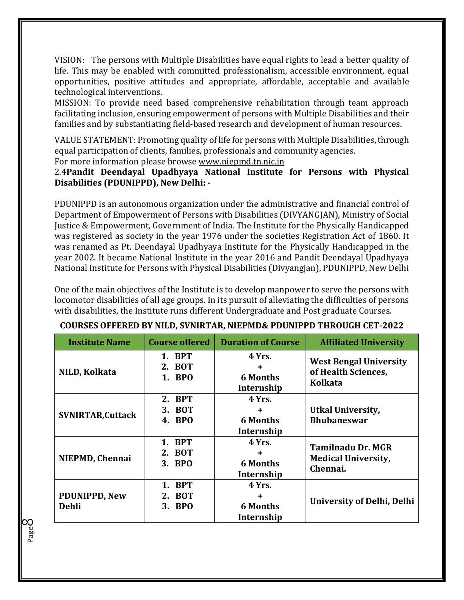VISION: The persons with Multiple Disabilities have equal rights to lead a better quality of life. This may be enabled with committed professionalism, accessible environment, equal opportunities, positive attitudes and appropriate, affordable, acceptable and available technological interventions.

MISSION: To provide need based comprehensive rehabilitation through team approach facilitating inclusion, ensuring empowerment of persons with Multiple Disabilities and their families and by substantiating field-based research and development of human resources.

VALUE STATEMENT: Promoting quality of life for persons with Multiple Disabilities, through equal participation of clients, families, professionals and community agencies.

For more information please browse [www.niepmd.tn.nic.in](http://www.niepmd.tn.nic.in/)

Page  $\infty$ 

#### 2.4**Pandit Deendayal Upadhyaya National Institute for Persons with Physical Disabilities (PDUNIPPD), New Delhi: -**

PDUNIPPD is an autonomous organization under the administrative and financial control of Department of Empowerment of Persons with Disabilities (DIVYANGJAN), Ministry of Social Justice & Empowerment, Government of India. The Institute for the Physically Handicapped was registered as society in the year 1976 under the societies Registration Act of 1860. It was renamed as Pt. Deendayal Upadhyaya Institute for the Physically Handicapped in the year 2002. It became National Institute in the year 2016 and Pandit Deendayal Upadhyaya National Institute for Persons with Physical Disabilities (Divyangjan), PDUNIPPD, New Delhi

One of the main objectives of the Institute is to develop manpower to serve the persons with locomotor disabilities of all age groups. In its pursuit of alleviating the difficulties of persons with disabilities, the Institute runs different Undergraduate and Post graduate Courses.

| <b>Institute Name</b>                | <b>Course offered</b>                | <b>Duration of Course</b>                    | <b>Affiliated University</b>                                           |
|--------------------------------------|--------------------------------------|----------------------------------------------|------------------------------------------------------------------------|
| NILD, Kolkata                        | 1. BPT<br>2. BOT<br>1. BPO           | 4 Yrs.<br><b>6 Months</b><br>Internship      | <b>West Bengal University</b><br>of Health Sciences,<br><b>Kolkata</b> |
| <b>SVNIRTAR, Cuttack</b>             | <b>BPT</b><br>2.<br>3. BOT<br>4. BPO | 4 Yrs.<br><b>6 Months</b><br>Internship      | <b>Utkal University,</b><br><b>Bhubaneswar</b>                         |
| NIEPMD, Chennai                      | 1. BPT<br>2. BOT<br>3. BPO           | 4 Yrs.<br><b>6 Months</b><br>Internship      | <b>Tamilnadu Dr. MGR</b><br><b>Medical University,</b><br>Chennai.     |
| <b>PDUNIPPD, New</b><br><b>Dehli</b> | 1. BPT<br><b>BOT</b><br>2.<br>3. BPO | 4 Yrs.<br>٠<br><b>6 Months</b><br>Internship | <b>University of Delhi, Delhi</b>                                      |

#### **COURSES OFFERED BY NILD, SVNIRTAR, NIEPMD& PDUNIPPD THROUGH CET-2022**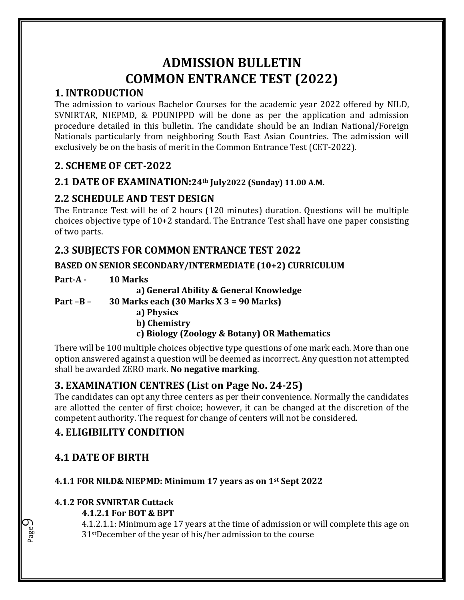## **ADMISSION BULLETIN COMMON ENTRANCE TEST (2022)**

## **1. INTRODUCTION**

The admission to various Bachelor Courses for the academic year 2022 offered by NILD, SVNIRTAR, NIEPMD, & PDUNIPPD will be done as per the application and admission procedure detailed in this bulletin. The candidate should be an Indian National/Foreign Nationals particularly from neighboring South East Asian Countries. The admission will exclusively be on the basis of merit in the Common Entrance Test (CET-2022).

## **2. SCHEME OF CET-2022**

## **2.1 DATE OF EXAMINATION:24th July2022 (Sunday) 11.00 A.M.**

## **2.2 SCHEDULE AND TEST DESIGN**

The Entrance Test will be of 2 hours (120 minutes) duration. Questions will be multiple choices objective type of 10+2 standard. The Entrance Test shall have one paper consisting of two parts.

## **2.3 SUBJECTS FOR COMMON ENTRANCE TEST 2022**

#### **BASED ON SENIOR SECONDARY/INTERMEDIATE (10+2) CURRICULUM**

| Part-A -   | <b>10 Marks</b>                             |
|------------|---------------------------------------------|
|            | a) General Ability & General Knowledge      |
| Part $-B-$ | 30 Marks each $(30$ Marks X $3 = 90$ Marks) |
|            | a) Dhuaiga                                  |

- **a) Physics**
- **b) Chemistry**

## **c) Biology (Zoology & Botany) OR Mathematics**

There will be 100 multiple choices objective type questions of one mark each. More than one option answered against a question will be deemed as incorrect. Any question not attempted shall be awarded ZERO mark. **No negative marking**.

## **3. EXAMINATION CENTRES (List on Page No. 24-25)**

The candidates can opt any three centers as per their convenience. Normally the candidates are allotted the center of first choice; however, it can be changed at the discretion of the competent authority. The request for change of centers will not be considered.

## **4. ELIGIBILITY CONDITION**

## **4.1 DATE OF BIRTH**

Page  $\mathcal O$ 

## **4.1.1 FOR NILD& NIEPMD: Minimum 17 years as on 1st Sept 2022**

#### **4.1.2 FOR SVNIRTAR Cuttack**

#### **4.1.2.1 For BOT & BPT**

4.1.2.1.1: Minimum age 17 years at the time of admission or will complete this age on 31stDecember of the year of his/her admission to the course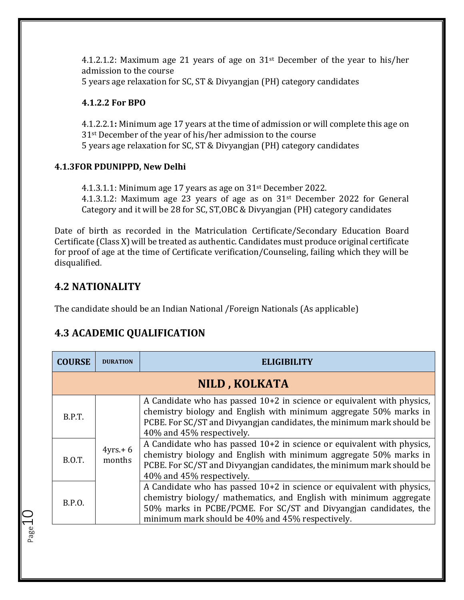4.1.2.1.2: Maximum age 21 years of age on 31st December of the year to his/her admission to the course

5 years age relaxation for SC, ST & Divyangjan (PH) category candidates

#### **4.1.2.2 For BPO**

4.1.2.2.1**:** Minimum age 17 years at the time of admission or will complete this age on 31st December of the year of his/her admission to the course 5 years age relaxation for SC, ST & Divyangjan (PH) category candidates

#### **4.1.3FOR PDUNIPPD, New Delhi**

4.1.3.1.1: Minimum age 17 years as age on 31st December 2022. 4.1.3.1.2: Maximum age 23 years of age as on 31st December 2022 for General Category and it will be 28 for SC, ST,OBC & Divyangjan (PH) category candidates

Date of birth as recorded in the Matriculation Certificate/Secondary Education Board Certificate (Class X) will be treated as authentic. Candidates must produce original certificate for proof of age at the time of Certificate verification/Counseling, failing which they will be disqualified.

## **4.2 NATIONALITY**

Page 1

The candidate should be an Indian National /Foreign Nationals (As applicable)

## **4.3 ACADEMIC QUALIFICATION**

| <b>COURSE</b> | <b>DURATION</b>      | ELIGIBILITY                                                                                                                                                                                                                                                            |
|---------------|----------------------|------------------------------------------------------------------------------------------------------------------------------------------------------------------------------------------------------------------------------------------------------------------------|
|               |                      | NILD, KOLKATA                                                                                                                                                                                                                                                          |
| B.P.T.        |                      | A Candidate who has passed $10+2$ in science or equivalent with physics,<br>chemistry biology and English with minimum aggregate 50% marks in<br>PCBE. For SC/ST and Divyangjan candidates, the minimum mark should be<br>40% and 45% respectively.                    |
| <b>B.O.T.</b> | $4yrs + 6$<br>months | A Candidate who has passed $10+2$ in science or equivalent with physics,<br>chemistry biology and English with minimum aggregate 50% marks in<br>PCBE. For SC/ST and Divyangian candidates, the minimum mark should be<br>40% and 45% respectively.                    |
| <b>B.P.O.</b> |                      | A Candidate who has passed $10+2$ in science or equivalent with physics,<br>chemistry biology/ mathematics, and English with minimum aggregate<br>50% marks in PCBE/PCME. For SC/ST and Divyangjan candidates, the<br>minimum mark should be 40% and 45% respectively. |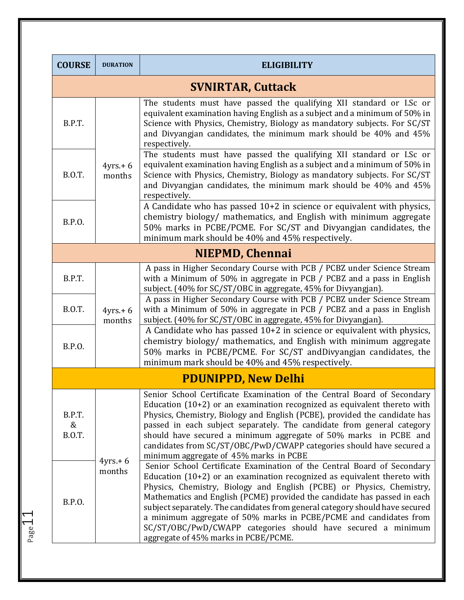| <b>COURSE</b>                | <b>DURATION</b>      | <b>ELIGIBILITY</b>                                                                                                                                                                                                                                                                                                                                                                                                                                                                                                                                                      |
|------------------------------|----------------------|-------------------------------------------------------------------------------------------------------------------------------------------------------------------------------------------------------------------------------------------------------------------------------------------------------------------------------------------------------------------------------------------------------------------------------------------------------------------------------------------------------------------------------------------------------------------------|
|                              |                      | <b>SVNIRTAR, Cuttack</b>                                                                                                                                                                                                                                                                                                                                                                                                                                                                                                                                                |
| B.P.T.                       |                      | The students must have passed the qualifying XII standard or I.Sc or<br>equivalent examination having English as a subject and a minimum of 50% in<br>Science with Physics, Chemistry, Biology as mandatory subjects. For SC/ST<br>and Divyangjan candidates, the minimum mark should be 40% and 45%<br>respectively.                                                                                                                                                                                                                                                   |
| <b>B.O.T.</b>                | $4yrs + 6$<br>months | The students must have passed the qualifying XII standard or I.Sc or<br>equivalent examination having English as a subject and a minimum of 50% in<br>Science with Physics, Chemistry, Biology as mandatory subjects. For SC/ST<br>and Divyangjan candidates, the minimum mark should be 40% and 45%<br>respectively.                                                                                                                                                                                                                                                   |
| B.P.O.                       |                      | A Candidate who has passed 10+2 in science or equivalent with physics,<br>chemistry biology/ mathematics, and English with minimum aggregate<br>50% marks in PCBE/PCME. For SC/ST and Divyangjan candidates, the<br>minimum mark should be 40% and 45% respectively.                                                                                                                                                                                                                                                                                                    |
|                              |                      | <b>NIEPMD, Chennai</b>                                                                                                                                                                                                                                                                                                                                                                                                                                                                                                                                                  |
| B.P.T.                       |                      | A pass in Higher Secondary Course with PCB / PCBZ under Science Stream<br>with a Minimum of 50% in aggregate in PCB / PCBZ and a pass in English<br>subject. (40% for SC/ST/OBC in aggregate, 45% for Divyangjan).                                                                                                                                                                                                                                                                                                                                                      |
| <b>B.O.T.</b>                | $4yrs + 6$<br>months | A pass in Higher Secondary Course with PCB / PCBZ under Science Stream<br>with a Minimum of 50% in aggregate in PCB / PCBZ and a pass in English<br>subject. (40% for SC/ST/OBC in aggregate, 45% for Divyangjan).                                                                                                                                                                                                                                                                                                                                                      |
| B.P.O.                       |                      | A Candidate who has passed 10+2 in science or equivalent with physics,<br>chemistry biology/ mathematics, and English with minimum aggregate<br>50% marks in PCBE/PCME. For SC/ST andDivyangjan candidates, the<br>minimum mark should be 40% and 45% respectively.                                                                                                                                                                                                                                                                                                     |
|                              |                      | <b>PDUNIPPD, New Delhi</b>                                                                                                                                                                                                                                                                                                                                                                                                                                                                                                                                              |
| B.P.T.<br>&<br><b>B.O.T.</b> |                      | Senior School Certificate Examination of the Central Board of Secondary<br>Education $(10+2)$ or an examination recognized as equivalent thereto with<br>Physics, Chemistry, Biology and English (PCBE), provided the candidate has<br>passed in each subject separately. The candidate from general category<br>should have secured a minimum aggregate of 50% marks in PCBE and<br>candidates from SC/ST/OBC/PwD/CWAPP categories should have secured a<br>minimum aggregate of 45% marks in PCBE                                                                     |
| B.P.O.                       | $4yrs + 6$<br>months | Senior School Certificate Examination of the Central Board of Secondary<br>Education $(10+2)$ or an examination recognized as equivalent thereto with<br>Physics, Chemistry, Biology and English (PCBE) or Physics, Chemistry,<br>Mathematics and English (PCME) provided the candidate has passed in each<br>subject separately. The candidates from general category should have secured<br>a minimum aggregate of 50% marks in PCBE/PCME and candidates from<br>SC/ST/OBC/PwD/CWAPP categories should have secured a minimum<br>aggregate of 45% marks in PCBE/PCME. |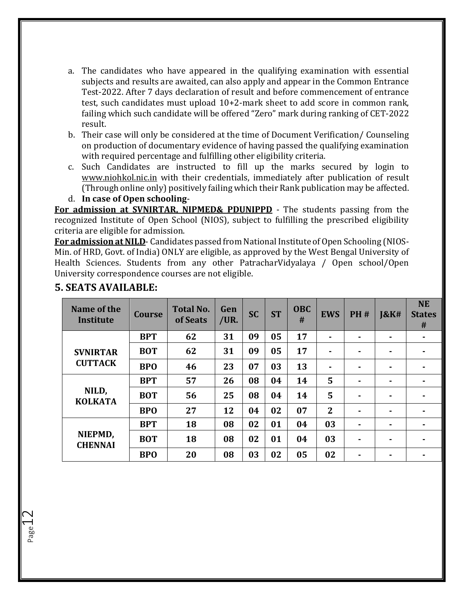- a. The candidates who have appeared in the qualifying examination with essential subjects and results are awaited, can also apply and appear in the Common Entrance Test-2022. After 7 days declaration of result and before commencement of entrance test, such candidates must upload 10+2-mark sheet to add score in common rank, failing which such candidate will be offered "Zero" mark during ranking of CET-2022 result.
- b. Their case will only be considered at the time of Document Verification/ Counseling on production of documentary evidence of having passed the qualifying examination with required percentage and fulfilling other eligibility criteria.
- c. Such Candidates are instructed to fill up the marks secured by login to [www.niohkol.nic.in](http://www.niohkol.nic.in/) with their credentials, immediately after publication of result (Through online only) positively failing which their Rank publication may be affected.
- d. **In case of Open schooling**-

**For admission at SVNIRTAR, NIPMED& PDUNIPPD** - The students passing from the recognized Institute of Open School (NIOS), subject to fulfilling the prescribed eligibility criteria are eligible for admission.

**For admission at NILD**- Candidates passed from National Institute of Open Schooling (NIOS-Min. of HRD, Govt. of India) ONLY are eligible, as approved by the West Bengal University of Health Sciences. Students from any other PatracharVidyalaya / Open school/Open University correspondence courses are not eligible.

| Name of the<br>Institute  | <b>Course</b> | <b>Total No.</b><br>of Seats | Gen<br>/UR. | <b>SC</b> | <b>ST</b> | <b>OBC</b><br># | <b>EWS</b>     | <b>PH#</b>     | <b>J&amp;K#</b> | <b>NE</b><br><b>States</b><br># |
|---------------------------|---------------|------------------------------|-------------|-----------|-----------|-----------------|----------------|----------------|-----------------|---------------------------------|
|                           | <b>BPT</b>    | 62                           | 31          | 09        | 05        | 17              | $\blacksquare$ | ۰.             | ۰.              | ۰.                              |
| <b>SVNIRTAR</b>           | <b>BOT</b>    | 62                           | 31          | 09        | 05        | 17              | ٠              | ۰              | ۰               |                                 |
| <b>CUTTACK</b>            | <b>BPO</b>    | 46                           | 23          | 07        | 03        | 13              | $\blacksquare$ | $\blacksquare$ | ۰.              |                                 |
|                           | <b>BPT</b>    | 57                           | 26          | 08        | 04        | 14              | 5              | ۰              | ۰.              |                                 |
| NILD,<br><b>KOLKATA</b>   | <b>BOT</b>    | 56                           | 25          | 08        | 04        | 14              | 5              | ۰              | ۰               |                                 |
|                           | <b>BPO</b>    | 27                           | 12          | 04        | 02        | 07              | $\overline{2}$ | $\blacksquare$ | ۰               |                                 |
| NIEPMD,<br><b>CHENNAI</b> | <b>BPT</b>    | 18                           | 08          | 02        | 01        | 04              | 03             | $\blacksquare$ | ۰.              |                                 |
|                           | <b>BOT</b>    | 18                           | 08          | 02        | 01        | 04              | 03             | ۰              | $\blacksquare$  |                                 |
|                           | <b>BPO</b>    | 20                           | 08          | 03        | 02        | 05              | 02             |                | ۰               |                                 |

#### **5. SEATS AVAILABLE:**

Page1.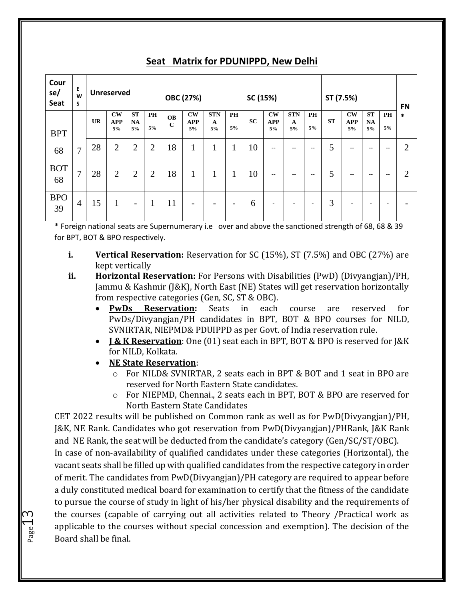| Cour<br>se/<br>Seat | Е<br>W<br>S    |           | <b>Unreserved</b>                    |                              |                |                          | OBC (27%)                     |                       |                          | SC (15%)  |                                            |                                                       |            | ST (7.5%) |                               |                              |                   | <b>FN</b>      |
|---------------------|----------------|-----------|--------------------------------------|------------------------------|----------------|--------------------------|-------------------------------|-----------------------|--------------------------|-----------|--------------------------------------------|-------------------------------------------------------|------------|-----------|-------------------------------|------------------------------|-------------------|----------------|
| <b>BPT</b>          |                | <b>UR</b> | $\mathbf{CW}$<br><b>APP</b><br>$5\%$ | <b>ST</b><br><b>NA</b><br>5% | PH<br>5%       | <b>OB</b><br>$\mathbf C$ | <b>CW</b><br><b>APP</b><br>5% | <b>STN</b><br>A<br>5% | <b>PH</b><br>5%          | <b>SC</b> | $\mathbf{C}\mathbf{W}$<br><b>APP</b><br>5% | <b>STN</b><br>A<br>5%                                 | PH<br>5%   | <b>ST</b> | <b>CW</b><br><b>APP</b><br>5% | <b>ST</b><br><b>NA</b><br>5% | <b>PH</b><br>5%   | *              |
| 68                  | 7              | 28        | $\overline{2}$                       | $\overline{2}$               | $\overline{2}$ | 18                       | 1<br>T                        | $\mathbf{1}$          | 1                        | 10        | $- -$                                      | $\hspace{0.05cm} - \hspace{0.05cm} - \hspace{0.05cm}$ | $\sim$ $-$ | 5         | $\hspace{0.05cm} -$           | $- -$                        | $\qquad \qquad -$ | $\overline{2}$ |
| <b>BOT</b><br>68    | 7              | 28        | $\overline{2}$                       | $\overline{2}$               | $\overline{2}$ | 18                       | 1                             | 1                     | $\mathbf{1}$             | 10        | $-$                                        | $- -$                                                 | $\sim$ $-$ | 5         | $- -$                         | $- -$                        | $\qquad \qquad -$ | $\overline{2}$ |
| <b>BPO</b><br>39    | $\overline{4}$ | 15        | 1<br>$\bf{I}$                        | $\overline{\phantom{a}}$     | 1              | 11                       | -                             | -                     | $\overline{\phantom{0}}$ | 6         | ۰                                          |                                                       |            | 3         | ۰                             | -                            | ۰                 |                |

#### **Seat Matrix for PDUNIPPD, New Delhi**

\* Foreign national seats are Supernumerary i.e over and above the sanctioned strength of 68, 68 & 39 for BPT, BOT & BPO respectively.

- **i. Vertical Reservation:** Reservation for SC (15%), ST (7.5%) and OBC (27%) are kept vertically
- **ii. Horizontal Reservation:** For Persons with Disabilities (PwD) (Divyangjan)/PH, Jammu & Kashmir (J&K), North East (NE) States will get reservation horizontally from respective categories (Gen, SC, ST & OBC).
	- **PwDs Reservation:** Seats in each course are reserved for PwDs/Divyangjan/PH candidates in BPT, BOT & BPO courses for NILD, SVNIRTAR, NIEPMD& PDUIPPD as per Govt. of India reservation rule.
	- **J & K Reservation**: One (01) seat each in BPT, BOT & BPO is reserved for J&K for NILD, Kolkata.
	- **NE State Reservation**:

 $_{\rm page}$ 13

- For NILD& SVNIRTAR, 2 seats each in BPT & BOT and 1 seat in BPO are reserved for North Eastern State candidates.
- o For NIEPMD, Chennai., 2 seats each in BPT, BOT & BPO are reserved for North Eastern State Candidates

CET 2022 results will be published on Common rank as well as for PwD(Divyangjan)/PH, J&K, NE Rank. Candidates who got reservation from PwD(Divyangjan)/PHRank, J&K Rank and NE Rank, the seat will be deducted from the candidate's category (Gen/SC/ST/OBC).

In case of non-availability of qualified candidates under these categories (Horizontal), the vacant seats shall be filled up with qualified candidates from the respective category in order of merit. The candidates from PwD(Divyangjan)/PH category are required to appear before a duly constituted medical board for examination to certify that the fitness of the candidate to pursue the course of study in light of his/her physical disability and the requirements of the courses (capable of carrying out all activities related to Theory /Practical work as applicable to the courses without special concession and exemption). The decision of the Board shall be final.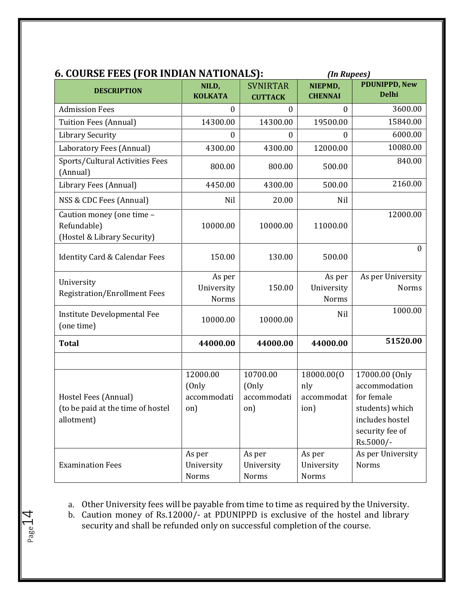| 6. COURSE FEES (FOR INDIAN NATIONALS):                                  |                                         | (In Rupees)                             |                                         |                                                                                                                     |  |  |
|-------------------------------------------------------------------------|-----------------------------------------|-----------------------------------------|-----------------------------------------|---------------------------------------------------------------------------------------------------------------------|--|--|
| <b>DESCRIPTION</b>                                                      | NILD,<br><b>KOLKATA</b>                 | <b>SVNIRTAR</b><br><b>CUTTACK</b>       | NIEPMD,<br><b>CHENNAI</b>               | <b>PDUNIPPD, New</b><br><b>Delhi</b>                                                                                |  |  |
| <b>Admission Fees</b>                                                   | $\Omega$                                | $\mathbf{0}$                            | $\mathbf{0}$                            | 3600.00                                                                                                             |  |  |
| <b>Tuition Fees (Annual)</b>                                            | 14300.00                                | 14300.00                                | 19500.00                                | 15840.00                                                                                                            |  |  |
| <b>Library Security</b>                                                 | $\boldsymbol{0}$                        | 0                                       | $\boldsymbol{0}$                        | 6000.00                                                                                                             |  |  |
| Laboratory Fees (Annual)                                                | 4300.00                                 | 4300.00                                 | 12000.00                                | 10080.00                                                                                                            |  |  |
| Sports/Cultural Activities Fees<br>(Annual)                             | 800.00                                  | 800.00                                  | 500.00                                  | 840.00                                                                                                              |  |  |
| Library Fees (Annual)                                                   | 4450.00                                 | 4300.00                                 | 500.00                                  | 2160.00                                                                                                             |  |  |
| NSS & CDC Fees (Annual)                                                 | Nil                                     | 20.00                                   | Nil                                     |                                                                                                                     |  |  |
| Caution money (one time -<br>Refundable)<br>(Hostel & Library Security) | 10000.00                                | 10000.00                                | 11000.00                                | 12000.00                                                                                                            |  |  |
| <b>Identity Card &amp; Calendar Fees</b>                                | 150.00                                  | 130.00                                  | 500.00                                  | $\mathbf{0}$                                                                                                        |  |  |
| University<br><b>Registration/Enrollment Fees</b>                       | As per<br>University<br>Norms           | 150.00                                  | As per<br>University<br>Norms           | As per University<br>Norms                                                                                          |  |  |
| Institute Developmental Fee<br>(one time)                               | 10000.00                                | 10000.00                                | Nil                                     | 1000.00                                                                                                             |  |  |
| <b>Total</b>                                                            | 44000.00                                | 44000.00                                | 44000.00                                | 51520.00                                                                                                            |  |  |
|                                                                         |                                         |                                         |                                         |                                                                                                                     |  |  |
| Hostel Fees (Annual)<br>(to be paid at the time of hostel<br>allotment) | 12000.00<br>(Only<br>accommodati<br>on) | 10700.00<br>(Only<br>accommodati<br>on) | 18000.00(0<br>nly<br>accommodat<br>ion) | 17000.00 (Only<br>accommodation<br>for female<br>students) which<br>includes hostel<br>security fee of<br>Rs.5000/- |  |  |
| <b>Examination Fees</b>                                                 | As per<br>University<br>Norms           | As per<br>University<br>Norms           | As per<br>University<br><b>Norms</b>    | As per University<br>Norms                                                                                          |  |  |

a. Other University fees will be payable from time to time as required by the University.

b. Caution money of Rs.12000/- at PDUNIPPD is exclusive of the hostel and library security and shall be refunded only on successful completion of the course.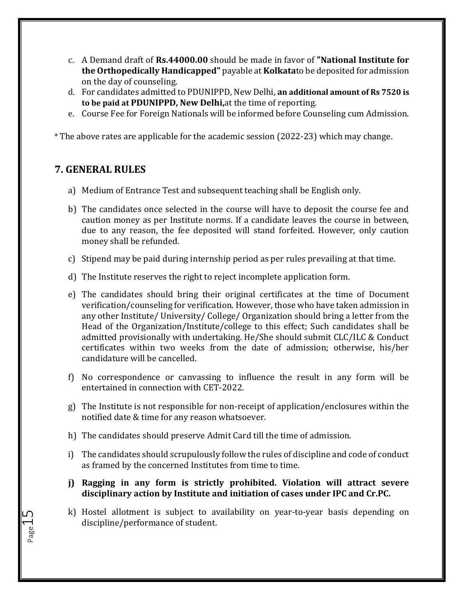- c. A Demand draft of **Rs.44000.00** should be made in favor of **"National Institute for the Orthopedically Handicapped"** payable at **Kolkata**to be deposited for admission on the day of counseling.
- d. For candidates admitted to PDUNIPPD, New Delhi, **an additional amount of Rs 7520 is to be paid at PDUNIPPD, New Delhi,**at the time of reporting.
- e. Course Fee for Foreign Nationals will be informed before Counseling cum Admission.

\* The above rates are applicable for the academic session (2022-23) which may change.

#### **7. GENERAL RULES**

- a) Medium of Entrance Test and subsequent teaching shall be English only.
- b) The candidates once selected in the course will have to deposit the course fee and caution money as per Institute norms. If a candidate leaves the course in between, due to any reason, the fee deposited will stand forfeited. However, only caution money shall be refunded.
- c) Stipend may be paid during internship period as per rules prevailing at that time.
- d) The Institute reserves the right to reject incomplete application form.
- e) The candidates should bring their original certificates at the time of Document verification/counseling for verification. However, those who have taken admission in any other Institute/ University/ College/ Organization should bring a letter from the Head of the Organization/Institute/college to this effect; Such candidates shall be admitted provisionally with undertaking. He/She should submit CLC/ILC & Conduct certificates within two weeks from the date of admission; otherwise, his/her candidature will be cancelled.
- f) No correspondence or canvassing to influence the result in any form will be entertained in connection with CET-2022.
- g) The Institute is not responsible for non-receipt of application/enclosures within the notified date & time for any reason whatsoever.
- h) The candidates should preserve Admit Card till the time of admission.
- i) The candidates should scrupulously follow the rules of discipline and code of conduct as framed by the concerned Institutes from time to time.
- **j) Ragging in any form is strictly prohibited. Violation will attract severe disciplinary action by Institute and initiation of cases under IPC and Cr.PC.**
- k) Hostel allotment is subject to availability on year-to-year basis depending on discipline/performance of student.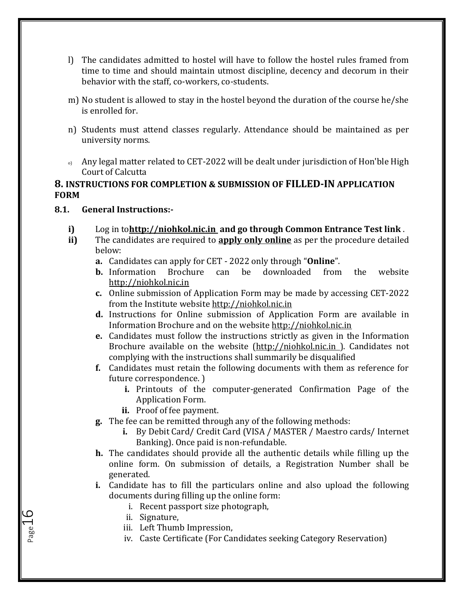- l) The candidates admitted to hostel will have to follow the hostel rules framed from time to time and should maintain utmost discipline, decency and decorum in their behavior with the staff, co-workers, co-students.
- m) No student is allowed to stay in the hostel beyond the duration of the course he/she is enrolled for.
- n) Students must attend classes regularly. Attendance should be maintained as per university norms.
- o) Any legal matter related to CET-2022 will be dealt under jurisdiction of Hon'ble High Court of Calcutta

#### **8. INSTRUCTIONS FOR COMPLETION & SUBMISSION OF FILLED-IN APPLICATION FORM**

#### **8.1. General Instructions:-**

- **i)** Log in to**[http://niohkol.nic.in](http://svnirtar.nic.in/) and go through Common Entrance Test link** .
- **ii)** The candidates are required to **apply only online** as per the procedure detailed below:
	- **a.** Candidates can apply for CET 2022 only through "**Online**".
	- **b.** Information Brochure can be downloaded from the website [http://niohkol.nic.in](http://svnirtar.nic.in/)
	- **c.** Online submission of Application Form may be made by accessing CET-2022 from the Institute website [http://niohkol.nic.in](http://svnirtar.nic.in/)
	- **d.** Instructions for Online submission of Application Form are available in Information Brochure and on the websit[e http://niohkol.nic.in](http://svnirtar.nic.in/)
	- **e.** Candidates must follow the instructions strictly as given in the Information Brochure available on the website [\(http://niohkol.nic.in \)](http://svnirtar.nic.in/). Candidates not complying with the instructions shall summarily be disqualified
	- **f.** Candidates must retain the following documents with them as reference for future correspondence. )
		- **i.** Printouts of the computer-generated Confirmation Page of the Application Form.
		- **ii.** Proof of fee payment.
	- **g.** The fee can be remitted through any of the following methods:
		- **i.** By Debit Card/ Credit Card (VISA / MASTER / Maestro cards/ Internet Banking). Once paid is non-refundable.
	- **h.** The candidates should provide all the authentic details while filling up the online form. On submission of details, a Registration Number shall be generated.
	- **i.** Candidate has to fill the particulars online and also upload the following documents during filling up the online form:
		- i. Recent passport size photograph,
		- ii. Signature,

- iii. Left Thumb Impression,
- iv. Caste Certificate (For Candidates seeking Category Reservation)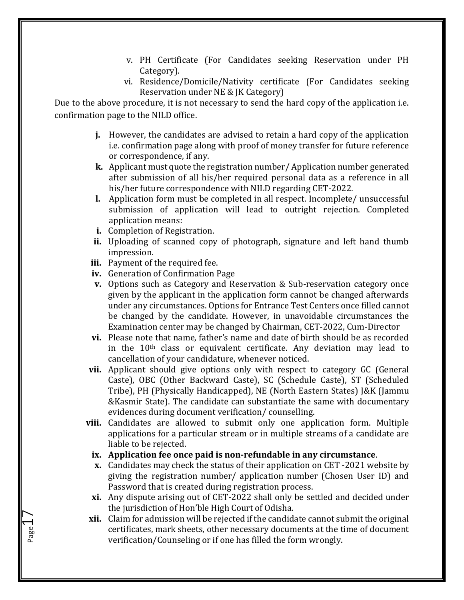- v. PH Certificate (For Candidates seeking Reservation under PH Category).
- vi. Residence/Domicile/Nativity certificate (For Candidates seeking Reservation under NE & JK Category)

Due to the above procedure, it is not necessary to send the hard copy of the application i.e. confirmation page to the NILD office.

- **j.** However, the candidates are advised to retain a hard copy of the application i.e. confirmation page along with proof of money transfer for future reference or correspondence, if any.
- **k.** Applicant must quote the registration number/ Application number generated after submission of all his/her required personal data as a reference in all his/her future correspondence with NILD regarding CET-2022.
- **l.** Application form must be completed in all respect. Incomplete/ unsuccessful submission of application will lead to outright rejection. Completed application means:
- **i.** Completion of Registration.
- **ii.** Uploading of scanned copy of photograph, signature and left hand thumb impression.
- **iii.** Payment of the required fee.

Page 1

- **iv.** Generation of Confirmation Page
- **v.** Options such as Category and Reservation & Sub-reservation category once given by the applicant in the application form cannot be changed afterwards under any circumstances. Options for Entrance Test Centers once filled cannot be changed by the candidate. However, in unavoidable circumstances the Examination center may be changed by Chairman, CET-2022, Cum-Director
- **vi.** Please note that name, father's name and date of birth should be as recorded in the 10th class or equivalent certificate. Any deviation may lead to cancellation of your candidature, whenever noticed.
- **vii.** Applicant should give options only with respect to category GC (General Caste), OBC (Other Backward Caste), SC (Schedule Caste), ST (Scheduled Tribe), PH (Physically Handicapped), NE (North Eastern States) J&K (Jammu &Kasmir State). The candidate can substantiate the same with documentary evidences during document verification/ counselling.
- **viii.** Candidates are allowed to submit only one application form. Multiple applications for a particular stream or in multiple streams of a candidate are liable to be rejected.

#### **ix. Application fee once paid is non-refundable in any circumstance**.

- **x.** Candidates may check the status of their application on CET -2021 website by giving the registration number/ application number (Chosen User ID) and Password that is created during registration process.
- **xi.** Any dispute arising out of CET-2022 shall only be settled and decided under the jurisdiction of Hon'ble High Court of Odisha.
- **xii.** Claim for admission will be rejected if the candidate cannot submit the original certificates, mark sheets, other necessary documents at the time of document verification/Counseling or if one has filled the form wrongly.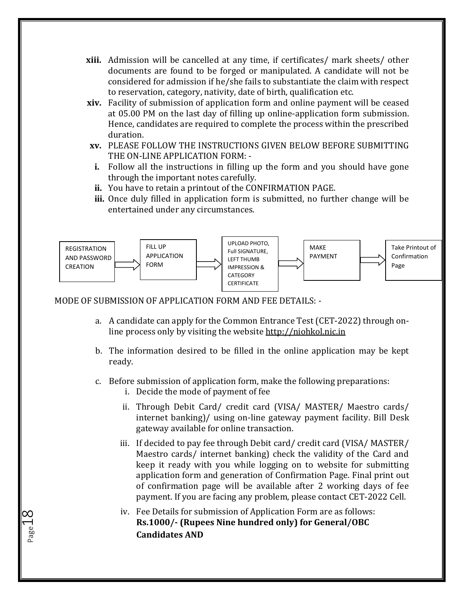- **xiii.** Admission will be cancelled at any time, if certificates/ mark sheets/ other documents are found to be forged or manipulated. A candidate will not be considered for admission if he/she fails to substantiate the claim with respect to reservation, category, nativity, date of birth, qualification etc.
- **xiv.** Facility of submission of application form and online payment will be ceased at 05.00 PM on the last day of filling up online-application form submission. Hence, candidates are required to complete the process within the prescribed duration.
- **xv.** PLEASE FOLLOW THE INSTRUCTIONS GIVEN BELOW BEFORE SUBMITTING THE ON-LINE APPLICATION FORM: -
- **i.** Follow all the instructions in filling up the form and you should have gone through the important notes carefully.
- **ii.** You have to retain a printout of the CONFIRMATION PAGE.
- **iii.** Once duly filled in application form is submitted, no further change will be entertained under any circumstances.



#### MODE OF SUBMISSION OF APPLICATION FORM AND FEE DETAILS: -

- a. A candidate can apply for the Common Entrance Test (CET-2022) through online process only by visiting the websit[e http://niohkol.nic.in](http://svnirtar.nic.in/)
- b. The information desired to be filled in the online application may be kept ready.
- c. Before submission of application form, make the following preparations:
	- i. Decide the mode of payment of fee

- ii. Through Debit Card/ credit card (VISA/ MASTER/ Maestro cards/ internet banking)/ using on-line gateway payment facility. Bill Desk gateway available for online transaction.
- iii. If decided to pay fee through Debit card/ credit card (VISA/ MASTER/ Maestro cards/ internet banking) check the validity of the Card and keep it ready with you while logging on to website for submitting application form and generation of Confirmation Page. Final print out of confirmation page will be available after 2 working days of fee payment. If you are facing any problem, please contact CET-2022 Cell.
- iv. Fee Details for submission of Application Form are as follows: **Rs.1000/- (Rupees Nine hundred only) for General/OBC Candidates AND**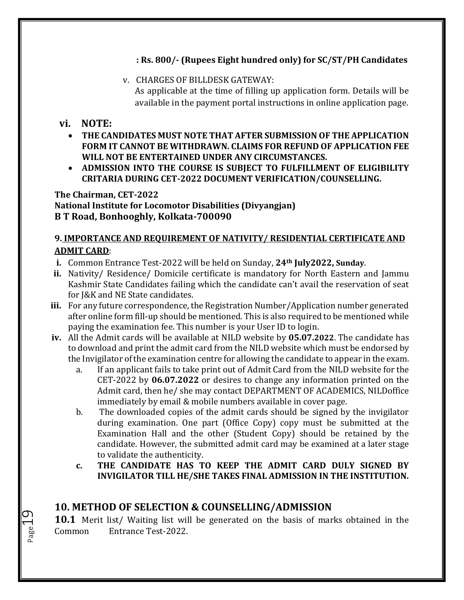#### **: Rs. 800/- (Rupees Eight hundred only) for SC/ST/PH Candidates**

v. CHARGES OF BILLDESK GATEWAY: As applicable at the time of filling up application form. Details will be available in the payment portal instructions in online application page.

#### **vi. NOTE:**

Page 19

- **THE CANDIDATES MUST NOTE THAT AFTER SUBMISSION OF THE APPLICATION FORM IT CANNOT BE WITHDRAWN. CLAIMS FOR REFUND OF APPLICATION FEE WILL NOT BE ENTERTAINED UNDER ANY CIRCUMSTANCES.**
- **ADMISSION INTO THE COURSE IS SUBJECT TO FULFILLMENT OF ELIGIBILITY CRITARIA DURING CET-2022 DOCUMENT VERIFICATION/COUNSELLING.**

#### **The Chairman, CET-2022**

**National Institute for Locomotor Disabilities (Divyangjan) B T Road, Bonhooghly, Kolkata-700090**

#### **9. IMPORTANCE AND REQUIREMENT OF NATIVITY/ RESIDENTIAL CERTIFICATE AND ADMIT CARD**:

- **i.** Common Entrance Test-2022 will be held on Sunday, **24th July2022, Sunday**.
- **ii.** Nativity/ Residence/ Domicile certificate is mandatory for North Eastern and Jammu Kashmir State Candidates failing which the candidate can't avail the reservation of seat for J&K and NE State candidates.
- **iii.** For any future correspondence, the Registration Number/Application number generated after online form fill-up should be mentioned. This is also required to be mentioned while paying the examination fee. This number is your User ID to login.
- **iv.** All the Admit cards will be available at NILD website by **05.07.2022**. The candidate has to download and print the admit card from the NILD website which must be endorsed by the Invigilator of the examination centre for allowing the candidate to appear in the exam.
	- a. If an applicant fails to take print out of Admit Card from the NILD website for the CET-2022 by **06.07.2022** or desires to change any information printed on the Admit card, then he/ she may contact DEPARTMENT OF ACADEMICS, NILDoffice immediately by email & mobile numbers available in cover page.
	- b. The downloaded copies of the admit cards should be signed by the invigilator during examination. One part (Office Copy) copy must be submitted at the Examination Hall and the other (Student Copy) should be retained by the candidate. However, the submitted admit card may be examined at a later stage to validate the authenticity.
	- **c. THE CANDIDATE HAS TO KEEP THE ADMIT CARD DULY SIGNED BY INVIGILATOR TILL HE/SHE TAKES FINAL ADMISSION IN THE INSTITUTION.**

## **10. METHOD OF SELECTION & COUNSELLING/ADMISSION**

**10.1** Merit list/ Waiting list will be generated on the basis of marks obtained in the Common Entrance Test-2022.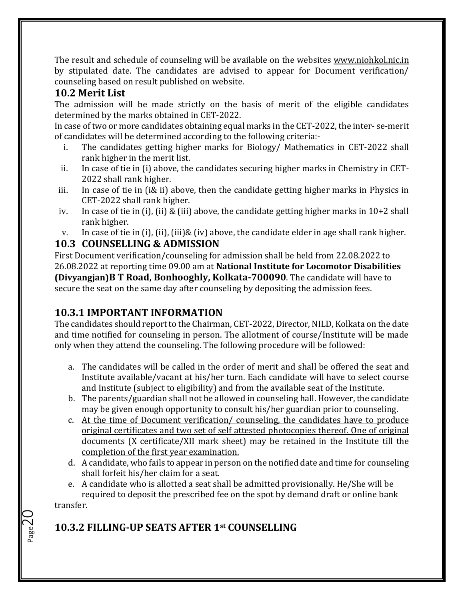The result and schedule of counseling will be available on the websites [www.niohkol.nic.in](http://www.niohkol.nic.in/) by stipulated date. The candidates are advised to appear for Document verification/ counseling based on result published on website.

## **10.2 Merit List**

The admission will be made strictly on the basis of merit of the eligible candidates determined by the marks obtained in CET-2022.

In case of two or more candidates obtaining equal marks in the CET-2022, the inter- se-merit of candidates will be determined according to the following criteria:-

- i. The candidates getting higher marks for Biology/ Mathematics in CET-2022 shall rank higher in the merit list.
- ii. In case of tie in (i) above, the candidates securing higher marks in Chemistry in CET-2022 shall rank higher.
- iii. In case of tie in (i& ii) above, then the candidate getting higher marks in Physics in CET-2022 shall rank higher.
- iv. In case of tie in (i), (ii) & (iii) above, the candidate getting higher marks in 10+2 shall rank higher.
- v. In case of tie in (i), (ii), (iii)& (iv) above, the candidate elder in age shall rank higher.

## **10.3 COUNSELLING & ADMISSION**

First Document verification/counseling for admission shall be held from 22.08.2022 to 26.08.2022 at reporting time 09.00 am at **National Institute for Locomotor Disabilities (Divyangjan)B T Road, Bonhooghly, Kolkata-700090**. The candidate will have to secure the seat on the same day after counseling by depositing the admission fees.

## **10.3.1 IMPORTANT INFORMATION**

The candidates should report to the Chairman, CET-2022, Director, NILD, Kolkata on the date and time notified for counseling in person. The allotment of course/Institute will be made only when they attend the counseling. The following procedure will be followed:

- a. The candidates will be called in the order of merit and shall be offered the seat and Institute available/vacant at his/her turn. Each candidate will have to select course and Institute (subject to eligibility) and from the available seat of the Institute.
- b. The parents/guardian shall not be allowed in counseling hall. However, the candidate may be given enough opportunity to consult his/her guardian prior to counseling.
- c. At the time of Document verification/ counseling, the candidates have to produce original certificates and two set of self attested photocopies thereof. One of original documents (X certificate/XII mark sheet) may be retained in the Institute till the completion of the first year examination.
- d. A candidate, who fails to appear in person on the notified date and time for counseling shall forfeit his/her claim for a seat.
- e. A candidate who is allotted a seat shall be admitted provisionally. He/She will be required to deposit the prescribed fee on the spot by demand draft or online bank

transfer.

Page  $20$ 

## **10.3.2 FILLING-UP SEATS AFTER 1st COUNSELLING**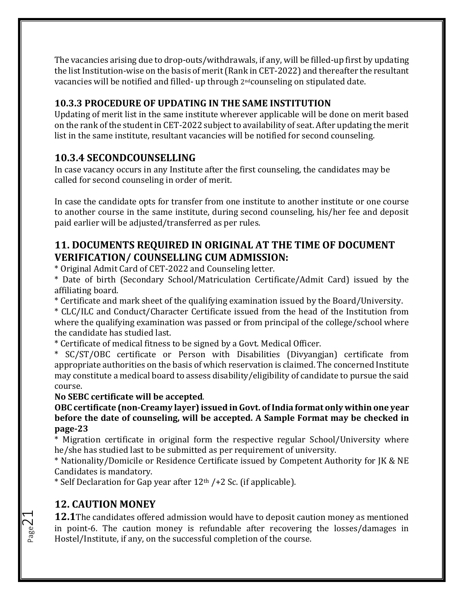The vacancies arising due to drop-outs/withdrawals, if any, will be filled-up first by updating the list Institution-wise on the basis of merit (Rank in CET-2022) and thereafter the resultant vacancies will be notified and filled- up through 2ndcounseling on stipulated date.

## **10.3.3 PROCEDURE OF UPDATING IN THE SAME INSTITUTION**

Updating of merit list in the same institute wherever applicable will be done on merit based on the rank of the student in CET-2022 subject to availability of seat. After updating the merit list in the same institute, resultant vacancies will be notified for second counseling.

## **10.3.4 SECONDCOUNSELLING**

In case vacancy occurs in any Institute after the first counseling, the candidates may be called for second counseling in order of merit.

In case the candidate opts for transfer from one institute to another institute or one course to another course in the same institute, during second counseling, his/her fee and deposit paid earlier will be adjusted/transferred as per rules.

## **11. DOCUMENTS REQUIRED IN ORIGINAL AT THE TIME OF DOCUMENT VERIFICATION/ COUNSELLING CUM ADMISSION:**

\* Original Admit Card of CET-2022 and Counseling letter.

\* Date of birth (Secondary School/Matriculation Certificate/Admit Card) issued by the affiliating board.

\* Certificate and mark sheet of the qualifying examination issued by the Board/University.

\* CLC/ILC and Conduct/Character Certificate issued from the head of the Institution from where the qualifying examination was passed or from principal of the college/school where the candidate has studied last.

\* Certificate of medical fitness to be signed by a Govt. Medical Officer.

\* SC/ST/OBC certificate or Person with Disabilities (Divyangjan) certificate from appropriate authorities on the basis of which reservation is claimed. The concerned Institute may constitute a medical board to assess disability/eligibility of candidate to pursue the said course.

#### **No SEBC certificate will be accepted**.

**OBC certificate (non-Creamy layer) issued in Govt. of India format only within one year before the date of counseling, will be accepted. A Sample Format may be checked in page-23**

\* Migration certificate in original form the respective regular School/University where he/she has studied last to be submitted as per requirement of university.

\* Nationality/Domicile or Residence Certificate issued by Competent Authority for JK & NE Candidates is mandatory.

\* Self Declaration for Gap year after  $12<sup>th</sup>$  /+2 Sc. (if applicable).

## **12. CAUTION MONEY**

**12.1**The candidates offered admission would have to deposit caution money as mentioned in point-6. The caution money is refundable after recovering the losses/damages in Hostel/Institute, if any, on the successful completion of the course.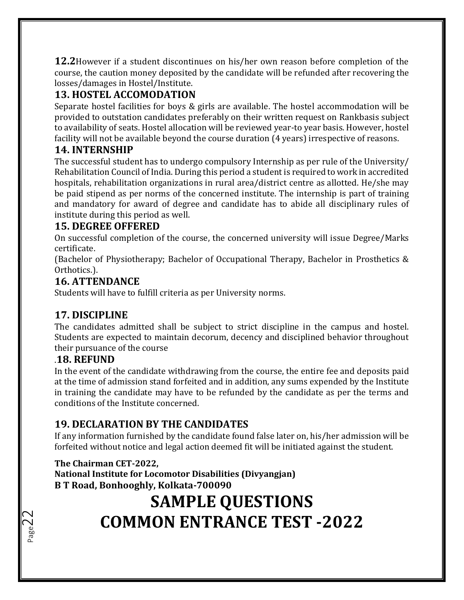**12.2**However if a student discontinues on his/her own reason before completion of the course, the caution money deposited by the candidate will be refunded after recovering the losses/damages in Hostel/Institute.

## **13. HOSTEL ACCOMODATION**

Separate hostel facilities for boys & girls are available. The hostel accommodation will be provided to outstation candidates preferably on their written request on Rankbasis subject to availability of seats. Hostel allocation will be reviewed year-to year basis. However, hostel facility will not be available beyond the course duration (4 years) irrespective of reasons.

## **14. INTERNSHIP**

The successful student has to undergo compulsory Internship as per rule of the University/ Rehabilitation Council of India. During this period a student is required to work in accredited hospitals, rehabilitation organizations in rural area/district centre as allotted. He/she may be paid stipend as per norms of the concerned institute. The internship is part of training and mandatory for award of degree and candidate has to abide all disciplinary rules of institute during this period as well.

## **15. DEGREE OFFERED**

On successful completion of the course, the concerned university will issue Degree/Marks certificate.

(Bachelor of Physiotherapy; Bachelor of Occupational Therapy, Bachelor in Prosthetics & Orthotics.).

#### **16. ATTENDANCE**

Students will have to fulfill criteria as per University norms.

#### **17. DISCIPLINE**

The candidates admitted shall be subject to strict discipline in the campus and hostel. Students are expected to maintain decorum, decency and disciplined behavior throughout their pursuance of the course

#### .**18. REFUND**

Page 2

In the event of the candidate withdrawing from the course, the entire fee and deposits paid at the time of admission stand forfeited and in addition, any sums expended by the Institute in training the candidate may have to be refunded by the candidate as per the terms and conditions of the Institute concerned.

## **19. DECLARATION BY THE CANDIDATES**

If any information furnished by the candidate found false later on, his/her admission will be forfeited without notice and legal action deemed fit will be initiated against the student.

#### **The Chairman CET-2022,**

**National Institute for Locomotor Disabilities (Divyangjan) B T Road, Bonhooghly, Kolkata-700090**

## **SAMPLE QUESTIONS COMMON ENTRANCE TEST -2022**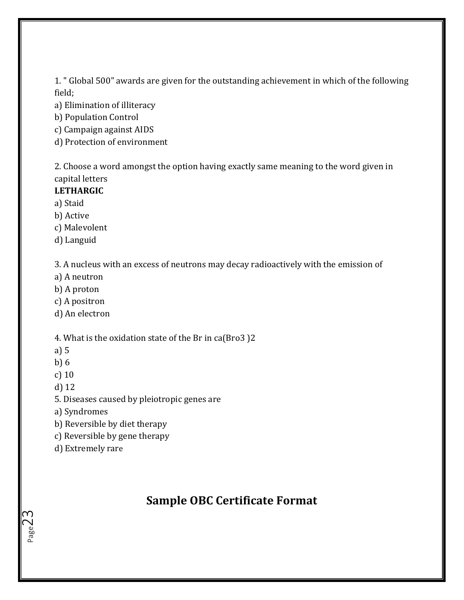1. " Global 500" awards are given for the outstanding achievement in which of the following field;

a) Elimination of illiteracy

b) Population Control

c) Campaign against AIDS

d) Protection of environment

2. Choose a word amongst the option having exactly same meaning to the word given in capital letters

#### **LETHARGIC**

a) Staid

b) Active

c) Malevolent

d) Languid

3. A nucleus with an excess of neutrons may decay radioactively with the emission of

a) A neutron

b) A proton

c) A positron

d) An electron

4. What is the oxidation state of the Br in ca(Bro3 )2

a) 5

b) 6

c) 10

d) 12

Page $\preceq$ 

5. Diseases caused by pleiotropic genes are

a) Syndromes

b) Reversible by diet therapy

c) Reversible by gene therapy

d) Extremely rare

## **Sample OBC Certificate Format**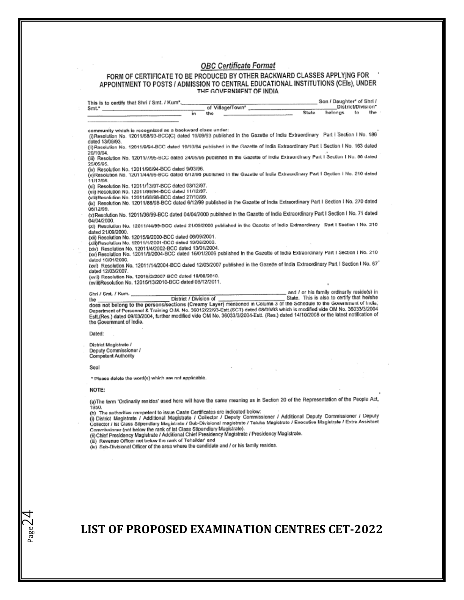#### **OBC Certificate Format**

# FORM OF CERTIFICATE TO BE PRODUCED BY OTHER BACKWARD CLASSES APPLYING FOR<br>APPOINTMENT TO POSTS / ADMISSION TO CENTRAL EDUCATIONAL INSTITUTIONS (CEIs), UNDER<br>THE GOVERNMENT OF INDIA

| This is to certify that Shri / Smt. / Kum*.                                                                                                   |                                                                                                                                                                                      | Son / Daughter* of Shri /                                                                                                                                                                                                                                                                                                                                                                                                                     |
|-----------------------------------------------------------------------------------------------------------------------------------------------|--------------------------------------------------------------------------------------------------------------------------------------------------------------------------------------|-----------------------------------------------------------------------------------------------------------------------------------------------------------------------------------------------------------------------------------------------------------------------------------------------------------------------------------------------------------------------------------------------------------------------------------------------|
| Smt."                                                                                                                                         | of Village/Town*<br>în.<br>the                                                                                                                                                       | District/Division"<br>the<br>State<br>belongs<br>ŧ۵                                                                                                                                                                                                                                                                                                                                                                                           |
|                                                                                                                                               |                                                                                                                                                                                      |                                                                                                                                                                                                                                                                                                                                                                                                                                               |
|                                                                                                                                               |                                                                                                                                                                                      |                                                                                                                                                                                                                                                                                                                                                                                                                                               |
| community which is recognized as a backward class under:<br>dated 13/09/93.                                                                   |                                                                                                                                                                                      | (i)Resolution No. 12011/68/93-BCC(C) dated 10/09/93 published in the Gazette of India Extraordinary Part I Section I No. 186                                                                                                                                                                                                                                                                                                                  |
| 20/10/94                                                                                                                                      |                                                                                                                                                                                      | (ii) Recelution No. 12011/8/94-BCC dated 19/10/94 published in the Gazette of India Extraordinary Part I Section I No. 163 dated                                                                                                                                                                                                                                                                                                              |
| 25/05/05.                                                                                                                                     |                                                                                                                                                                                      | (iii) Resolution No. 12011///95-BCC dated 24/05/95 published in the Gazette of India Extraordinary Part I Section I No. 00 dated                                                                                                                                                                                                                                                                                                              |
| (iv) Resolution No. 12011/96/94-BCC dated 9/03/96.<br>11/12/98                                                                                |                                                                                                                                                                                      | (v)Resolution No. 12011/44/86-BCC dated 6/12/95 published in the Gazette of India Extraordinary Part I Section I No. 210 deted                                                                                                                                                                                                                                                                                                                |
| (vi) Resolution No. 12011/13/97-BCC dated 03/12/97.<br>(vii) Resolution No. 12011/99/94-BCC dated 11/12/97.                                   |                                                                                                                                                                                      |                                                                                                                                                                                                                                                                                                                                                                                                                                               |
| (viii)Resolution No. 12011/68/98-BCC dated 27/10/99.                                                                                          |                                                                                                                                                                                      |                                                                                                                                                                                                                                                                                                                                                                                                                                               |
| 06/12/99.                                                                                                                                     |                                                                                                                                                                                      | (ix) Resolution No. 12011/88/98-BCC dated 6/12/99 published in the Gazette of India Extraordinary Part I Section I No. 270 dated                                                                                                                                                                                                                                                                                                              |
| 04/04/2000.                                                                                                                                   |                                                                                                                                                                                      | (x)Resolution No. 12011/36/99-BCC dated 04/04/2000 published in the Gazette of India Extraordinary Part I Section I No. 71 dated                                                                                                                                                                                                                                                                                                              |
|                                                                                                                                               |                                                                                                                                                                                      | (xl) Resolution No. 12011/44/99-BCC dated 21/09/2000 published in the Cazette of India Extraordinary Part I Section I No. 210                                                                                                                                                                                                                                                                                                                 |
| dated 21/09/2000.<br>(xiii) Resolution No. 12015/9/2000-BCC dated 06/09/2001.                                                                 |                                                                                                                                                                                      |                                                                                                                                                                                                                                                                                                                                                                                                                                               |
| (xiii)Resolution No. 12011/1/2001-DCC dated 19/06/2003.                                                                                       |                                                                                                                                                                                      |                                                                                                                                                                                                                                                                                                                                                                                                                                               |
| (xiv) Resolution No. 12011/4/2002-BCC dated 13/01/2004.                                                                                       |                                                                                                                                                                                      | (xv) Resolution No. 12011/9/2004-BCC dated 16/01/2006 published in the Gazette of India Extraordinary Part I Section I No. 210                                                                                                                                                                                                                                                                                                                |
| dated 10/01/2000.                                                                                                                             |                                                                                                                                                                                      |                                                                                                                                                                                                                                                                                                                                                                                                                                               |
| dated 12/03/2007.                                                                                                                             |                                                                                                                                                                                      | (xvi) Resolution No. 12011/14/2004-BCC dated 12/03/2007 published in the Gazette of India Extraordinary Part I Section I No. 67                                                                                                                                                                                                                                                                                                               |
| (xvii) Resolution No. 12015/2/2007-BCC dated 18/08/2010.                                                                                      |                                                                                                                                                                                      |                                                                                                                                                                                                                                                                                                                                                                                                                                               |
| (xviii)Resolution No. 12015/13/2010-BCC dated 06/12/2011.                                                                                     |                                                                                                                                                                                      |                                                                                                                                                                                                                                                                                                                                                                                                                                               |
| Ghri / Gmt. / Kum.                                                                                                                            |                                                                                                                                                                                      | and I or his family ordinarily reside(s) in                                                                                                                                                                                                                                                                                                                                                                                                   |
| the<br>the Government of India.                                                                                                               | District / Division of                                                                                                                                                               | State. This is also to certify that he/she<br>does not belong to the persons/sections (Creamy Layer) mentioned in Column 3 of the Schedule to the Government of India,<br>Department of Porconnol & Training O.M. No. 36012/22/93-Estt.(SCT) dated 08/09/93 which is modified vide OM No. 36033/3/2004<br>Estt.(Res.) dated 09/03/2004, further modified vide OM No. 36033/3/2004-Estt. (Res.) dated 14/10/2008 or the latest notification of |
| Dated:                                                                                                                                        |                                                                                                                                                                                      |                                                                                                                                                                                                                                                                                                                                                                                                                                               |
| District Magistrato /                                                                                                                         |                                                                                                                                                                                      |                                                                                                                                                                                                                                                                                                                                                                                                                                               |
| Deputy Commissioner /                                                                                                                         |                                                                                                                                                                                      |                                                                                                                                                                                                                                                                                                                                                                                                                                               |
| Competent Authority                                                                                                                           |                                                                                                                                                                                      |                                                                                                                                                                                                                                                                                                                                                                                                                                               |
| Seal                                                                                                                                          |                                                                                                                                                                                      |                                                                                                                                                                                                                                                                                                                                                                                                                                               |
|                                                                                                                                               | * Please delete the word(s) which are not applicable.                                                                                                                                |                                                                                                                                                                                                                                                                                                                                                                                                                                               |
|                                                                                                                                               |                                                                                                                                                                                      |                                                                                                                                                                                                                                                                                                                                                                                                                                               |
|                                                                                                                                               |                                                                                                                                                                                      |                                                                                                                                                                                                                                                                                                                                                                                                                                               |
| NOTE:                                                                                                                                         |                                                                                                                                                                                      | (a) The term 'Ordinarily resides' used here will have the same meaning as in Section 20 of the Representation of the People Act,                                                                                                                                                                                                                                                                                                              |
| 1950.<br>Commissioner (not below the rank of Ist Class Stipendiary Magistrate).<br>(iii) Revenue Officer not below the rank of Tehsildar' and | (b) The authorities competent to issue Caste Certificates are indicated below:<br>(ii) Chief Presidency Magistrate / Additional Chief Presidency Magistrate / Presidency Magistrate. | (i) District Magistrate / Additional Magistrate / Collector / Deputy Commissioner / Additional Deputy Commissioner / Deputy<br>Collector / Ist Class Stipendlary Magistrate / Sub-Divisional magistrate / Taluka Magistrate / Executive Magistrate / Extra Assistant                                                                                                                                                                          |

**LIST OF PROPOSED EXAMINATION CENTRES CET-2022**

Page $2\overline{4}$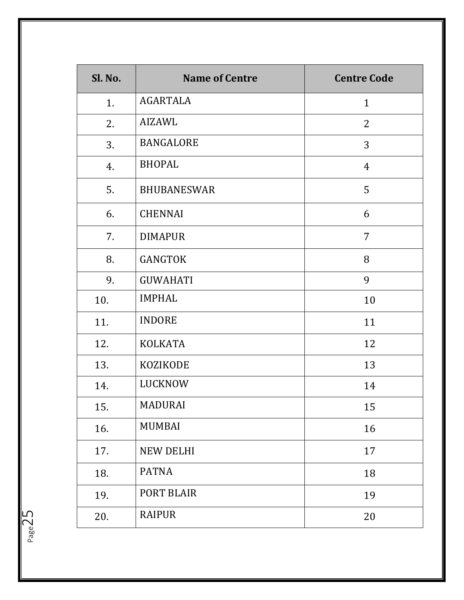| Sl. No. | <b>Name of Centre</b> | <b>Centre Code</b> |
|---------|-----------------------|--------------------|
| 1.      | <b>AGARTALA</b>       | $\mathbf{1}$       |
| 2.      | AIZAWL                | $\overline{2}$     |
| 3.      | <b>BANGALORE</b>      | 3                  |
| 4.      | <b>BHOPAL</b>         | $\overline{4}$     |
| 5.      | <b>BHUBANESWAR</b>    | 5                  |
| 6.      | <b>CHENNAI</b>        | 6                  |
| 7.      | <b>DIMAPUR</b>        | $\overline{7}$     |
| 8.      | <b>GANGTOK</b>        | 8                  |
| 9.      | <b>GUWAHATI</b>       | 9                  |
| 10.     | <b>IMPHAL</b>         | 10                 |
| 11.     | <b>INDORE</b>         | 11                 |
| 12.     | <b>KOLKATA</b>        | 12                 |
| 13.     | <b>KOZIKODE</b>       | 13                 |
| 14.     | LUCKNOW               | 14                 |
| 15.     | MADURAI               | 15                 |
| 16.     | MUMBAI                | 16                 |
| 17.     | <b>NEW DELHI</b>      | 17                 |
| 18.     | <b>PATNA</b>          | 18                 |
| 19.     | PORT BLAIR            | 19                 |
| 20.     | <b>RAIPUR</b>         | 20                 |